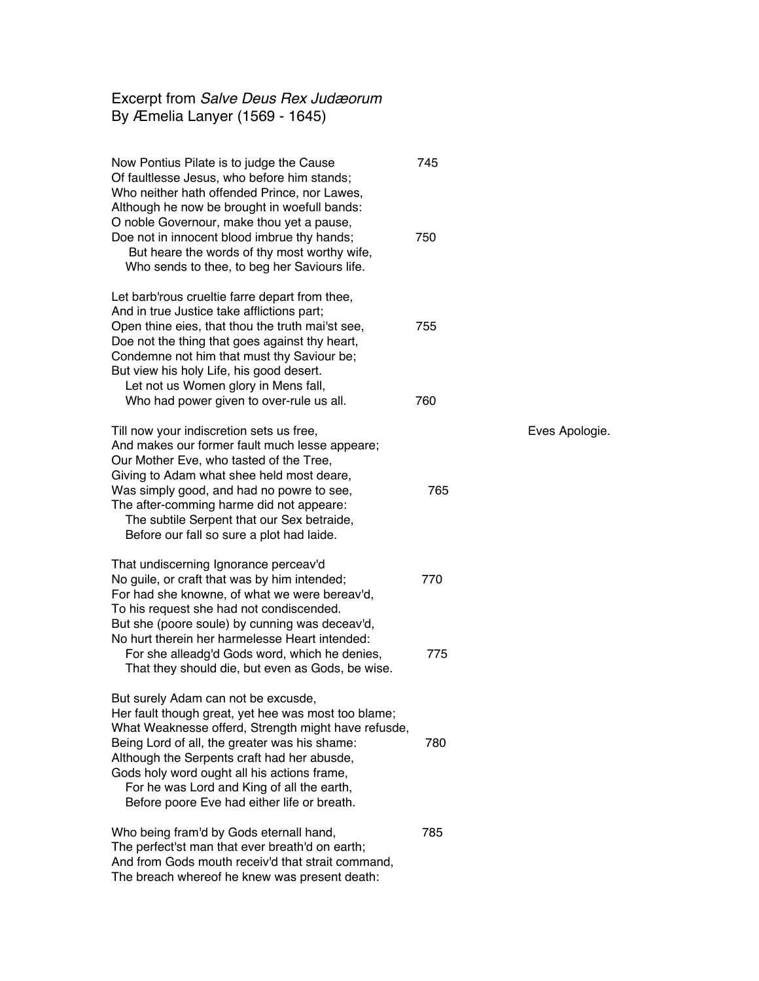## Excerpt from *Salve Deus Rex Judæorum* By Æmelia Lanyer (1569 - 1645)

Now Pontius Pilate is to judge the Cause 745 Of faultlesse Jesus, who before him stands; Who neither hath offended Prince, nor Lawes, Although he now be brought in woefull bands: O noble Governour, make thou yet a pause, Doe not in innocent blood imbrue thy hands; 750 But heare the words of thy most worthy wife, Who sends to thee, to beg her Saviours life. Let barb'rous crueltie farre depart from thee, And in true Justice take afflictions part; Open thine eies, that thou the truth mai'st see, 755 Doe not the thing that goes against thy heart, Condemne not him that must thy Saviour be; But view his holy Life, his good desert. Let not us Women glory in Mens fall, Who had power given to over-rule us all. 760 Till now your indiscretion sets us free, The Contract of the Eves Apologie. And makes our former fault much lesse appeare; Our Mother Eve, who tasted of the Tree, Giving to Adam what shee held most deare, Was simply good, and had no powre to see, T65 The after-comming harme did not appeare: The subtile Serpent that our Sex betraide, Before our fall so sure a plot had laide. That undiscerning Ignorance perceav'd No guile, or craft that was by him intended; 770 For had she knowne, of what we were bereav'd, To his request she had not condiscended. But she (poore soule) by cunning was deceav'd, No hurt therein her harmelesse Heart intended: For she alleadg'd Gods word, which he denies,  $\frac{775}{ }$  That they should die, but even as Gods, be wise. But surely Adam can not be excusde, Her fault though great, yet hee was most too blame; What Weaknesse offerd, Strength might have refusde, Being Lord of all, the greater was his shame: 780 Although the Serpents craft had her abusde, Gods holy word ought all his actions frame, For he was Lord and King of all the earth, Before poore Eve had either life or breath. Who being fram'd by Gods eternall hand, 785 The perfect'st man that ever breath'd on earth;

And from Gods mouth receiv'd that strait command, The breach whereof he knew was present death: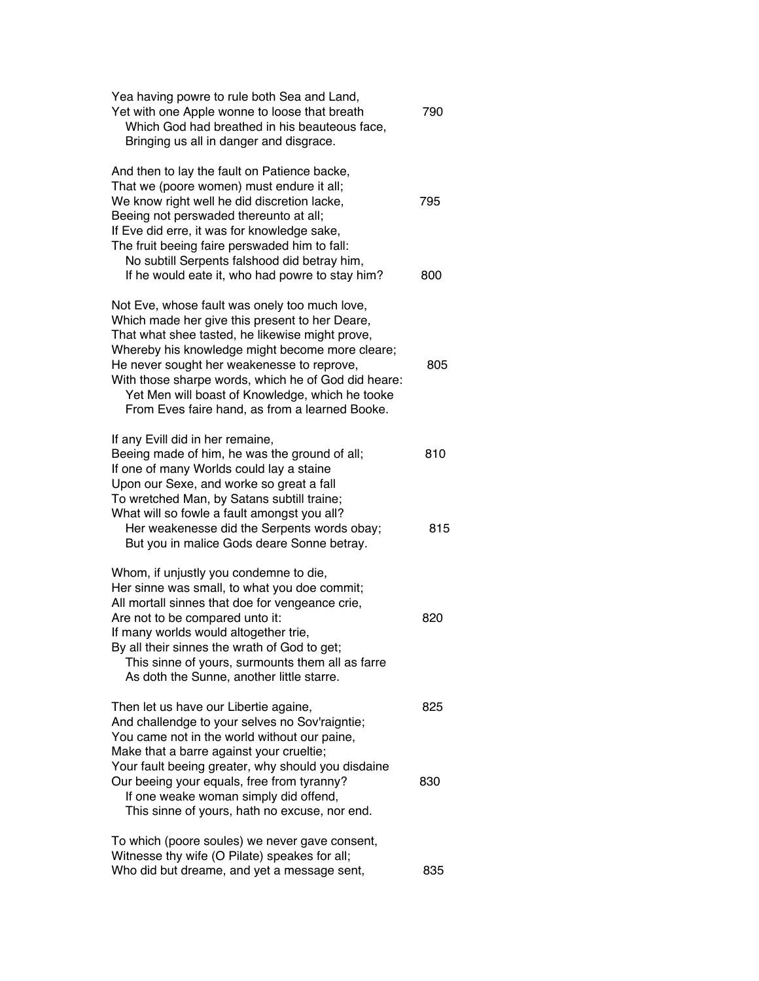| Yea having powre to rule both Sea and Land,<br>Yet with one Apple wonne to loose that breath<br>Which God had breathed in his beauteous face,<br>Bringing us all in danger and disgrace.                                                                                                                                                                                                                        | 790        |
|-----------------------------------------------------------------------------------------------------------------------------------------------------------------------------------------------------------------------------------------------------------------------------------------------------------------------------------------------------------------------------------------------------------------|------------|
| And then to lay the fault on Patience backe,<br>That we (poore women) must endure it all;<br>We know right well he did discretion lacke,<br>Beeing not perswaded thereunto at all;<br>If Eve did erre, it was for knowledge sake,<br>The fruit beeing faire perswaded him to fall:<br>No subtill Serpents falshood did betray him,<br>If he would eate it, who had powre to stay him?                           | 795<br>800 |
| Not Eve, whose fault was onely too much love,<br>Which made her give this present to her Deare,<br>That what shee tasted, he likewise might prove,<br>Whereby his knowledge might become more cleare;<br>He never sought her weakenesse to reprove,<br>With those sharpe words, which he of God did heare:<br>Yet Men will boast of Knowledge, which he tooke<br>From Eves faire hand, as from a learned Booke. | 805        |
| If any Evill did in her remaine,<br>Beeing made of him, he was the ground of all;<br>If one of many Worlds could lay a staine<br>Upon our Sexe, and worke so great a fall<br>To wretched Man, by Satans subtill traine;<br>What will so fowle a fault amongst you all?<br>Her weakenesse did the Serpents words obay;<br>But you in malice Gods deare Sonne betray.                                             | 810<br>815 |
| Whom, if unjustly you condemne to die,<br>Her sinne was small, to what you doe commit;<br>All mortall sinnes that doe for vengeance crie,<br>Are not to be compared unto it:<br>If many worlds would altogether trie,<br>By all their sinnes the wrath of God to get;<br>This sinne of yours, surmounts them all as farre<br>As doth the Sunne, another little starre.                                          | 820        |
| Then let us have our Libertie againe,<br>And challendge to your selves no Sov'raigntie;<br>You came not in the world without our paine,<br>Make that a barre against your crueltie;<br>Your fault beeing greater, why should you disdaine<br>Our beeing your equals, free from tyranny?<br>If one weake woman simply did offend,<br>This sinne of yours, hath no excuse, nor end.                               | 825<br>830 |
| To which (poore soules) we never gave consent,<br>Witnesse thy wife (O Pilate) speakes for all;<br>Who did but dreame, and yet a message sent,                                                                                                                                                                                                                                                                  | 835        |